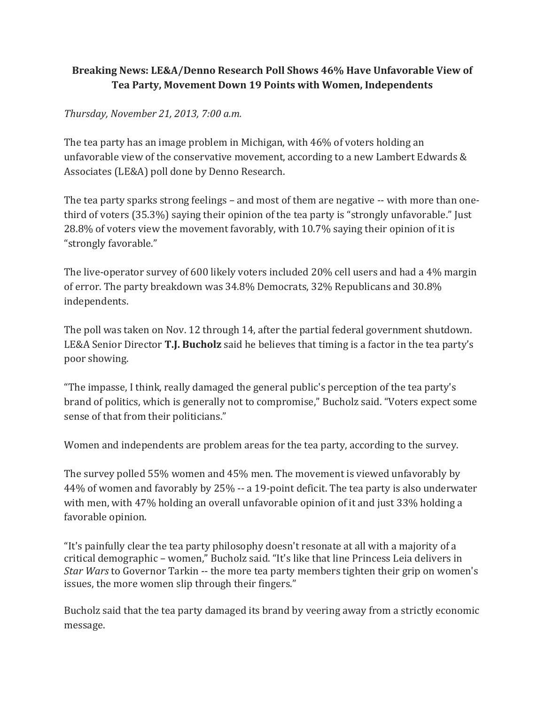## **Breaking News: LE&A/Denno Research Poll Shows 46% Have Unfavorable View of Tea Party, Movement Down 19 Points with Women, Independents**

## *Thursday, November 21, 2013, 7:00 a.m.*

The tea party has an image problem in Michigan, with 46% of voters holding an unfavorable view of the conservative movement, according to a new Lambert Edwards & Associates (LE&A) poll done by Denno Research.

The tea party sparks strong feelings – and most of them are negative -- with more than onethird of voters (35.3%) saying their opinion of the tea party is "strongly unfavorable." Just 28.8% of voters view the movement favorably, with 10.7% saying their opinion of it is "strongly favorable."

The live-operator survey of 600 likely voters included 20% cell users and had a 4% margin of error. The party breakdown was 34.8% Democrats, 32% Republicans and 30.8% independents.

The poll was taken on Nov. 12 through 14, after the partial federal government shutdown. LE&A Senior Director **T.J. Bucholz** said he believes that timing is a factor in the tea party's poor showing.

"The impasse, I think, really damaged the general public's perception of the tea party's brand of politics, which is generally not to compromise," Bucholz said. "Voters expect some sense of that from their politicians."

Women and independents are problem areas for the tea party, according to the survey.

The survey polled 55% women and 45% men. The movement is viewed unfavorably by 44% of women and favorably by 25% -- a 19-point deficit. The tea party is also underwater with men, with 47% holding an overall unfavorable opinion of it and just 33% holding a favorable opinion.

"It's painfully clear the tea party philosophy doesn't resonate at all with a majority of a critical demographic – women," Bucholz said. "It's like that line Princess Leia delivers in *Star Wars* to Governor Tarkin -- the more tea party members tighten their grip on women's issues, the more women slip through their fingers."

Bucholz said that the tea party damaged its brand by veering away from a strictly economic message.